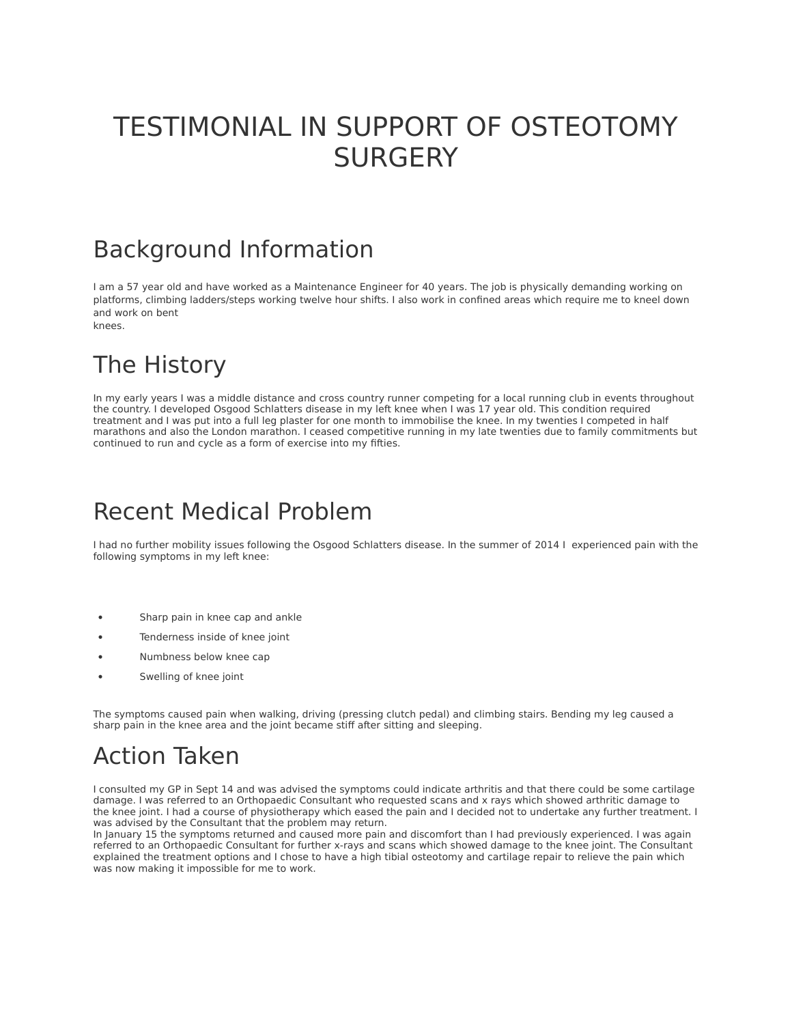# TESTIMONIAL IN SUPPORT OF OSTEOTOMY **SURGERY**

#### Background Information

I am a 57 year old and have worked as a Maintenance Engineer for 40 years. The job is physically demanding working on platforms, climbing ladders/steps working twelve hour shifts. I also work in confined areas which require me to kneel down and work on bent

knees.

# The History

In my early years I was a middle distance and cross country runner competing for a local running club in events throughout the country. I developed Osgood Schlatters disease in my left knee when I was 17 year old. This condition required treatment and I was put into a full leg plaster for one month to immobilise the knee. In my twenties I competed in half marathons and also the London marathon. I ceased competitive running in my late twenties due to family commitments but continued to run and cycle as a form of exercise into my fifties.

#### Recent Medical Problem

I had no further mobility issues following the Osgood Schlatters disease. In the summer of 2014 I experienced pain with the following symptoms in my left knee:

- Sharp pain in knee cap and ankle
- Tenderness inside of knee joint
- Numbness below knee cap
- Swelling of knee joint

The symptoms caused pain when walking, driving (pressing clutch pedal) and climbing stairs. Bending my leg caused a sharp pain in the knee area and the joint became stiff after sitting and sleeping.

#### Action Taken

I consulted my GP in Sept 14 and was advised the symptoms could indicate arthritis and that there could be some cartilage damage. I was referred to an Orthopaedic Consultant who requested scans and x rays which showed arthritic damage to the knee joint. I had a course of physiotherapy which eased the pain and I decided not to undertake any further treatment. I was advised by the Consultant that the problem may return.

In January 15 the symptoms returned and caused more pain and discomfort than I had previously experienced. I was again referred to an Orthopaedic Consultant for further x-rays and scans which showed damage to the knee joint. The Consultant explained the treatment options and I chose to have a high tibial osteotomy and cartilage repair to relieve the pain which was now making it impossible for me to work.